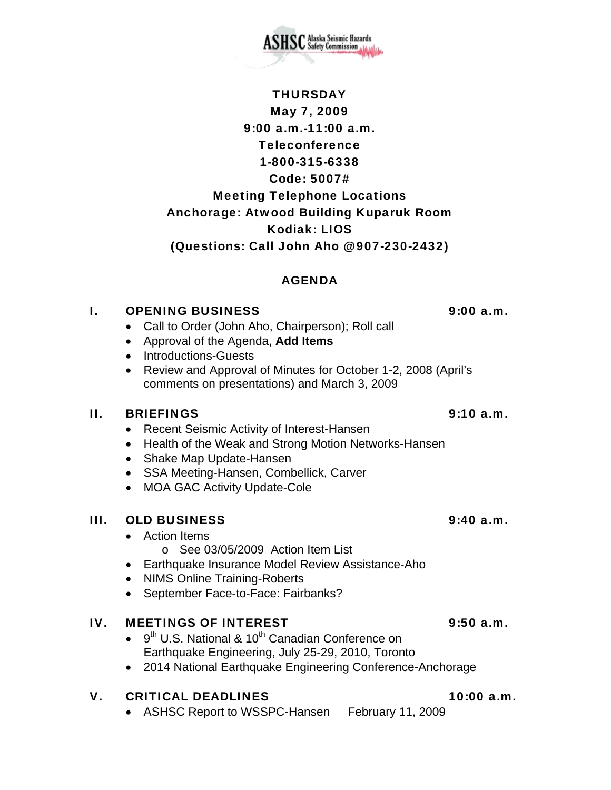May 7, 2009 9:00 a.m.-11:00 a.m. Teleconference 1-800-315-6338 Code: 5007# Meeting Telephone Locations Anchorage: Atwood Building Kuparuk Room Kodiak: LIOS (Questions: Call John Aho @ 907-230-2432)

THURSDAY

# AGENDA

## I. OPENING BUSINESS 9:00 a.m.

- Call to Order (John Aho, Chairperson); Roll call
- Approval of the Agenda, **Add Items**
- Introductions-Guests
- Review and Approval of Minutes for October 1-2, 2008 (April's comments on presentations) and March 3, 2009

### II. BRIEFINGS 9:10 a.m.

- Recent Seismic Activity of Interest-Hansen
- Health of the Weak and Strong Motion Networks-Hansen
- Shake Map Update-Hansen
- SSA Meeting-Hansen, Combellick, Carver
- MOA GAC Activity Update-Cole

### III. OLD BUSINESS 9:40 a.m.

- Action Items
	- o See 03/05/2009 Action Item List
- Earthquake Insurance Model Review Assistance-Aho
- NIMS Online Training-Roberts
- September Face-to-Face: Fairbanks?

# IV. MEETINGS OF INTEREST 9:50 a.m.

- $\bullet$  9<sup>th</sup> U.S. National & 10<sup>th</sup> Canadian Conference on Earthquake Engineering, July 25-29, 2010, Toronto
- 2014 National Earthquake Engineering Conference-Anchorage

# V. CRITICAL DEADLINES 10:00 a.m.

• ASHSC Report to WSSPC-Hansen February 11, 2009